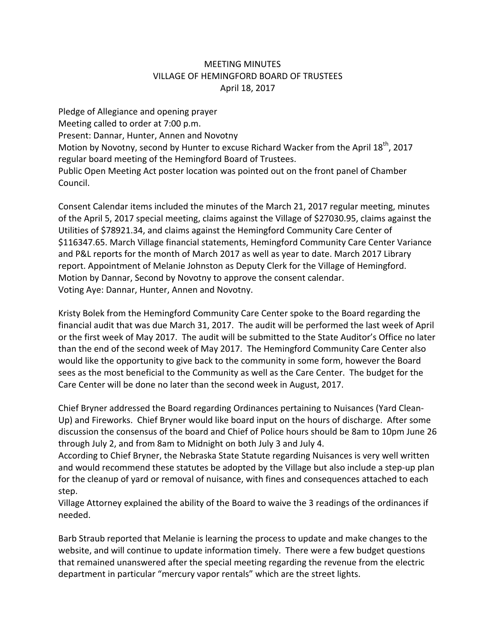## MEETING MINUTES VILLAGE OF HEMINGFORD BOARD OF TRUSTEES April 18, 2017

Pledge of Allegiance and opening prayer Meeting called to order at 7:00 p.m. Present: Dannar, Hunter, Annen and Novotny Motion by Novotny, second by Hunter to excuse Richard Wacker from the April 18<sup>th</sup>, 2017 regular board meeting of the Hemingford Board of Trustees. Public Open Meeting Act poster location was pointed out on the front panel of Chamber Council.

Consent Calendar items included the minutes of the March 21, 2017 regular meeting, minutes of the April 5, 2017 special meeting, claims against the Village of \$27030.95, claims against the Utilities of \$78921.34, and claims against the Hemingford Community Care Center of \$116347.65. March Village financial statements, Hemingford Community Care Center Variance and P&L reports for the month of March 2017 as well as year to date. March 2017 Library report. Appointment of Melanie Johnston as Deputy Clerk for the Village of Hemingford. Motion by Dannar, Second by Novotny to approve the consent calendar. Voting Aye: Dannar, Hunter, Annen and Novotny.

Kristy Bolek from the Hemingford Community Care Center spoke to the Board regarding the financial audit that was due March 31, 2017. The audit will be performed the last week of April or the first week of May 2017. The audit will be submitted to the State Auditor's Office no later than the end of the second week of May 2017. The Hemingford Community Care Center also would like the opportunity to give back to the community in some form, however the Board sees as the most beneficial to the Community as well as the Care Center. The budget for the Care Center will be done no later than the second week in August, 2017.

Chief Bryner addressed the Board regarding Ordinances pertaining to Nuisances (Yard Clean‐ Up) and Fireworks. Chief Bryner would like board input on the hours of discharge. After some discussion the consensus of the board and Chief of Police hours should be 8am to 10pm June 26 through July 2, and from 8am to Midnight on both July 3 and July 4.

According to Chief Bryner, the Nebraska State Statute regarding Nuisances is very well written and would recommend these statutes be adopted by the Village but also include a step-up plan for the cleanup of yard or removal of nuisance, with fines and consequences attached to each step.

Village Attorney explained the ability of the Board to waive the 3 readings of the ordinances if needed.

Barb Straub reported that Melanie is learning the process to update and make changes to the website, and will continue to update information timely. There were a few budget questions that remained unanswered after the special meeting regarding the revenue from the electric department in particular "mercury vapor rentals" which are the street lights.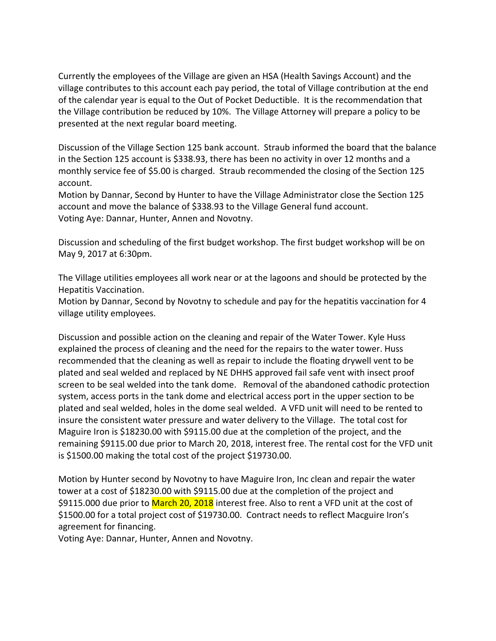Currently the employees of the Village are given an HSA (Health Savings Account) and the village contributes to this account each pay period, the total of Village contribution at the end of the calendar year is equal to the Out of Pocket Deductible. It is the recommendation that the Village contribution be reduced by 10%. The Village Attorney will prepare a policy to be presented at the next regular board meeting.

Discussion of the Village Section 125 bank account. Straub informed the board that the balance in the Section 125 account is \$338.93, there has been no activity in over 12 months and a monthly service fee of \$5.00 is charged. Straub recommended the closing of the Section 125 account.

Motion by Dannar, Second by Hunter to have the Village Administrator close the Section 125 account and move the balance of \$338.93 to the Village General fund account. Voting Aye: Dannar, Hunter, Annen and Novotny.

Discussion and scheduling of the first budget workshop. The first budget workshop will be on May 9, 2017 at 6:30pm.

The Village utilities employees all work near or at the lagoons and should be protected by the Hepatitis Vaccination.

Motion by Dannar, Second by Novotny to schedule and pay for the hepatitis vaccination for 4 village utility employees.

Discussion and possible action on the cleaning and repair of the Water Tower. Kyle Huss explained the process of cleaning and the need for the repairs to the water tower. Huss recommended that the cleaning as well as repair to include the floating drywell vent to be plated and seal welded and replaced by NE DHHS approved fail safe vent with insect proof screen to be seal welded into the tank dome. Removal of the abandoned cathodic protection system, access ports in the tank dome and electrical access port in the upper section to be plated and seal welded, holes in the dome seal welded. A VFD unit will need to be rented to insure the consistent water pressure and water delivery to the Village. The total cost for Maguire Iron is \$18230.00 with \$9115.00 due at the completion of the project, and the remaining \$9115.00 due prior to March 20, 2018, interest free. The rental cost for the VFD unit is \$1500.00 making the total cost of the project \$19730.00.

Motion by Hunter second by Novotny to have Maguire Iron, Inc clean and repair the water tower at a cost of \$18230.00 with \$9115.00 due at the completion of the project and \$9115.000 due prior to March 20, 2018 interest free. Also to rent a VFD unit at the cost of \$1500.00 for a total project cost of \$19730.00. Contract needs to reflect Macguire Iron's agreement for financing.

Voting Aye: Dannar, Hunter, Annen and Novotny.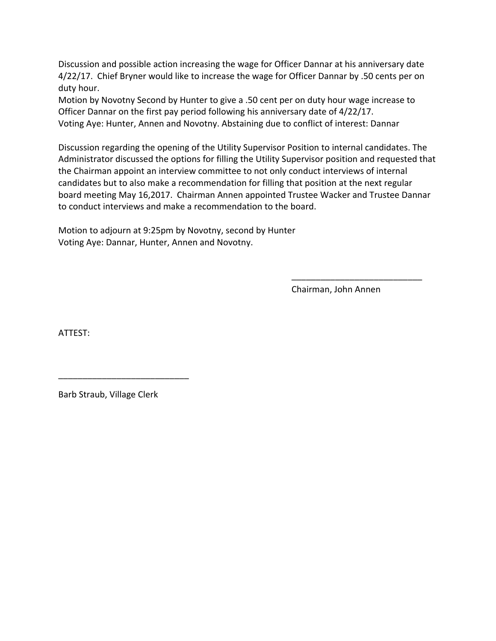Discussion and possible action increasing the wage for Officer Dannar at his anniversary date 4/22/17. Chief Bryner would like to increase the wage for Officer Dannar by .50 cents per on duty hour.

Motion by Novotny Second by Hunter to give a .50 cent per on duty hour wage increase to Officer Dannar on the first pay period following his anniversary date of 4/22/17. Voting Aye: Hunter, Annen and Novotny. Abstaining due to conflict of interest: Dannar

Discussion regarding the opening of the Utility Supervisor Position to internal candidates. The Administrator discussed the options for filling the Utility Supervisor position and requested that the Chairman appoint an interview committee to not only conduct interviews of internal candidates but to also make a recommendation for filling that position at the next regular board meeting May 16,2017. Chairman Annen appointed Trustee Wacker and Trustee Dannar to conduct interviews and make a recommendation to the board.

Motion to adjourn at 9:25pm by Novotny, second by Hunter Voting Aye: Dannar, Hunter, Annen and Novotny.

Chairman, John Annen

\_\_\_\_\_\_\_\_\_\_\_\_\_\_\_\_\_\_\_\_\_\_\_\_\_\_\_

ATTEST:

Barb Straub, Village Clerk

\_\_\_\_\_\_\_\_\_\_\_\_\_\_\_\_\_\_\_\_\_\_\_\_\_\_\_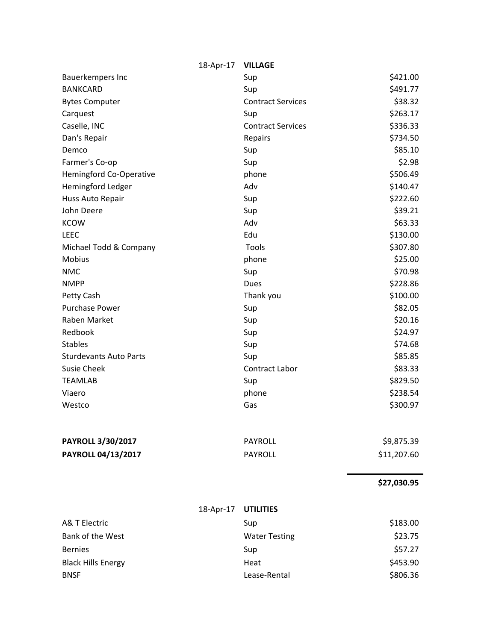|                               | 18-Apr-17 | <b>VILLAGE</b>           |             |
|-------------------------------|-----------|--------------------------|-------------|
| Bauerkempers Inc              |           | Sup                      | \$421.00    |
| <b>BANKCARD</b>               |           | Sup                      | \$491.77    |
| <b>Bytes Computer</b>         |           | <b>Contract Services</b> | \$38.32     |
| Carquest                      |           | Sup                      | \$263.17    |
| Caselle, INC                  |           | <b>Contract Services</b> | \$336.33    |
| Dan's Repair                  |           | Repairs                  | \$734.50    |
| Demco                         |           | Sup                      | \$85.10     |
| Farmer's Co-op                |           | Sup                      | \$2.98      |
| Hemingford Co-Operative       |           | phone                    | \$506.49    |
| Hemingford Ledger             |           | Adv                      | \$140.47    |
| Huss Auto Repair              |           | Sup                      | \$222.60    |
| John Deere                    |           | Sup                      | \$39.21     |
| <b>KCOW</b>                   |           | Adv                      | \$63.33     |
| <b>LEEC</b>                   |           | Edu                      | \$130.00    |
| Michael Todd & Company        |           | Tools                    | \$307.80    |
| Mobius                        |           | phone                    | \$25.00     |
| <b>NMC</b>                    |           | Sup                      | \$70.98     |
| <b>NMPP</b>                   |           | Dues                     | \$228.86    |
| Petty Cash                    |           | Thank you                | \$100.00    |
| <b>Purchase Power</b>         |           | Sup                      | \$82.05     |
| Raben Market                  |           | Sup                      | \$20.16     |
| Redbook                       |           | Sup                      | \$24.97     |
| <b>Stables</b>                |           | Sup                      | \$74.68     |
| <b>Sturdevants Auto Parts</b> |           | Sup                      | \$85.85     |
| <b>Susie Cheek</b>            |           | Contract Labor           | \$83.33     |
| <b>TEAMLAB</b>                |           | Sup                      | \$829.50    |
| Viaero                        |           | phone                    | \$238.54    |
| Westco                        |           | Gas                      | \$300.97    |
| <b>PAYROLL 3/30/2017</b>      |           | <b>PAYROLL</b>           | \$9,875.39  |
| PAYROLL 04/13/2017            |           | <b>PAYROLL</b>           | \$11,207.60 |
|                               |           |                          | \$27,030.95 |
|                               | 18-Apr-17 | <b>UTILITIES</b>         |             |

| Sup                  | \$183.00 |  |
|----------------------|----------|--|
| <b>Water Testing</b> | \$23.75  |  |
| Sup                  | \$57.27  |  |
| Heat                 | \$453.90 |  |
| Lease-Rental         | \$806.36 |  |
|                      |          |  |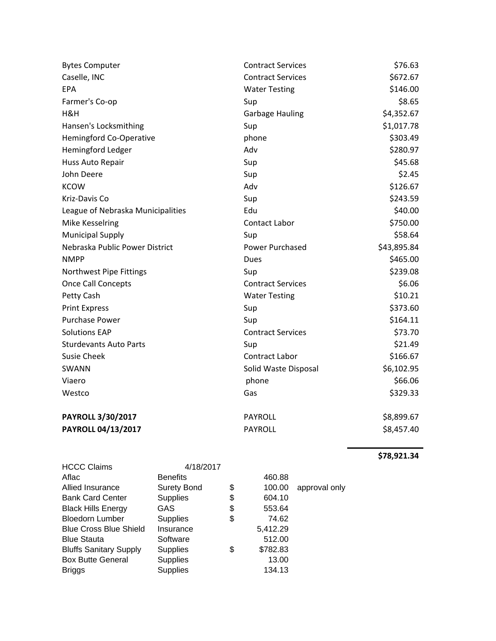| <b>Bytes Computer</b>             | <b>Contract Services</b> | \$76.63     |
|-----------------------------------|--------------------------|-------------|
| Caselle, INC                      | <b>Contract Services</b> | \$672.67    |
| EPA                               | <b>Water Testing</b>     | \$146.00    |
| Farmer's Co-op                    | Sup                      | \$8.65      |
| H&H                               | <b>Garbage Hauling</b>   | \$4,352.67  |
| Hansen's Locksmithing             | Sup                      | \$1,017.78  |
| Hemingford Co-Operative           | phone                    | \$303.49    |
| Hemingford Ledger                 | Adv                      | \$280.97    |
| Huss Auto Repair                  | Sup                      | \$45.68     |
| John Deere                        | Sup                      | \$2.45      |
| <b>KCOW</b>                       | Adv                      | \$126.67    |
| Kriz-Davis Co                     | Sup                      | \$243.59    |
| League of Nebraska Municipalities | Edu                      | \$40.00     |
| Mike Kesselring                   | Contact Labor            | \$750.00    |
| <b>Municipal Supply</b>           | Sup                      | \$58.64     |
| Nebraska Public Power District    | Power Purchased          | \$43,895.84 |
| <b>NMPP</b>                       | Dues                     | \$465.00    |
| Northwest Pipe Fittings           | Sup                      | \$239.08    |
| <b>Once Call Concepts</b>         | <b>Contract Services</b> | \$6.06      |
| Petty Cash                        | <b>Water Testing</b>     | \$10.21     |
| <b>Print Express</b>              | Sup                      | \$373.60    |
| <b>Purchase Power</b>             | Sup                      | \$164.11    |
| <b>Solutions EAP</b>              | <b>Contract Services</b> | \$73.70     |
| <b>Sturdevants Auto Parts</b>     | Sup                      | \$21.49     |
| <b>Susie Cheek</b>                | Contract Labor           | \$166.67    |
| SWANN                             | Solid Waste Disposal     | \$6,102.95  |
| Viaero                            | phone                    | \$66.06     |
| Westco                            | Gas                      | \$329.33    |
| PAYROLL 3/30/2017                 | <b>PAYROLL</b>           | \$8,899.67  |
| PAYROLL 04/13/2017                | <b>PAYROLL</b>           | \$8,457.40  |

**\$78,921.34**

| <b>HCCC Claims</b>            | 4/18/2017          |                |               |
|-------------------------------|--------------------|----------------|---------------|
| Aflac                         | <b>Benefits</b>    | 460.88         |               |
| Allied Insurance              | <b>Surety Bond</b> | \$<br>100.00   | approval only |
| <b>Bank Card Center</b>       | <b>Supplies</b>    | \$<br>604.10   |               |
| <b>Black Hills Energy</b>     | GAS                | \$<br>553.64   |               |
| <b>Bloedorn Lumber</b>        | <b>Supplies</b>    | \$<br>74.62    |               |
| <b>Blue Cross Blue Shield</b> | Insurance          | 5,412.29       |               |
| <b>Blue Stauta</b>            | Software           | 512.00         |               |
| <b>Bluffs Sanitary Supply</b> | <b>Supplies</b>    | \$<br>\$782.83 |               |
| <b>Box Butte General</b>      | <b>Supplies</b>    | 13.00          |               |
| Briggs                        | <b>Supplies</b>    | 134.13         |               |